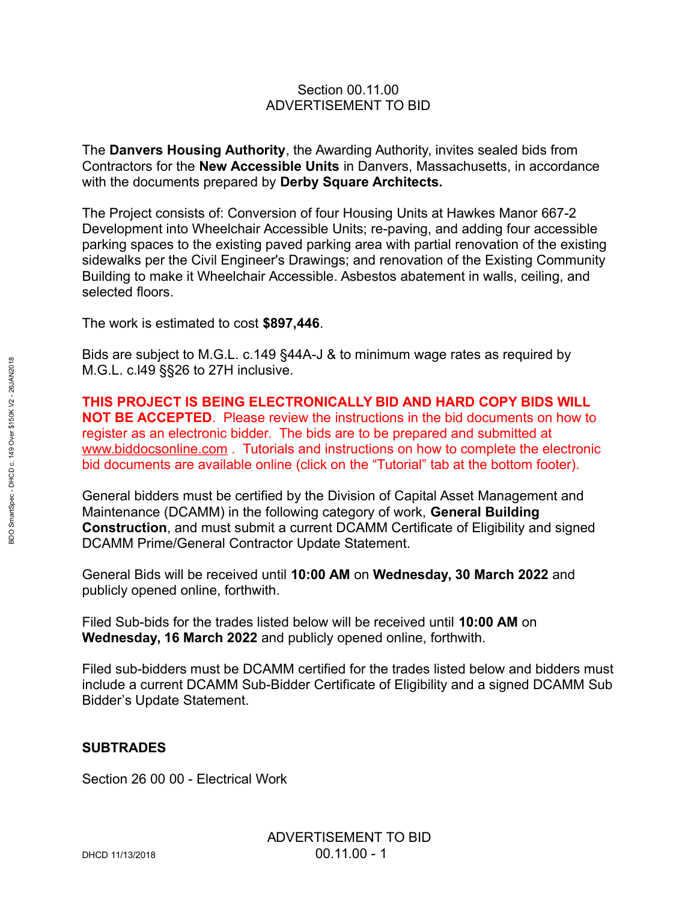## Section 00.11.00 ADVERTISEMENT TO BID

The **Danvers Housing Authority**, the Awarding Authority, invites sealed bids from Contractors for the **New Accessible Units** in Danvers, Massachusetts, in accordance with the documents prepared by **Derby Square Architects.**

The Project consists of: Conversion of four Housing Units at Hawkes Manor 667-2 Development into Wheelchair Accessible Units; re-paving, and adding four accessible parking spaces to the existing paved parking area with partial renovation of the existing sidewalks per the Civil Engineer's Drawings; and renovation of the Existing Community Building to make it Wheelchair Accessible. Asbestos abatement in walls, ceiling, and selected floors.

The work is estimated to cost **\$897,446**.

Bids are subject to M.G.L. c.149 §44A-J & to minimum wage rates as required by M.G.L. c.l49 §§26 to 27H inclusive.

**THIS PROJECT IS BEING ELECTRONICALLY BID AND HARD COPY BIDS WILL NOT BE ACCEPTED**. Please review the instructions in the bid documents on how to register as an electronic bidder. The bids are to be prepared and submitted at www.biddocsonline.com . Tutorials and instructions on how to complete the electronic bid documents are available online (click on the "Tutorial" tab at the bottom footer).

General bidders must be certified by the Division of Capital Asset Management and Maintenance (DCAMM) in the following category of work, **General Building Construction**, and must submit a current DCAMM Certificate of Eligibility and signed DCAMM Prime/General Contractor Update Statement.

General Bids will be received until **10:00 AM** on **Wednesday, 30 March 2022** and publicly opened online, forthwith.

Filed Sub-bids for the trades listed below will be received until **10:00 AM** on **Wednesday, 16 March 2022** and publicly opened online, forthwith.

Filed sub-bidders must be DCAMM certified for the trades listed below and bidders must include a current DCAMM Sub-Bidder Certificate of Eligibility and a signed DCAMM Sub Bidder's Update Statement.

## **SUBTRADES**

Section 26 00 00 - Electrical Work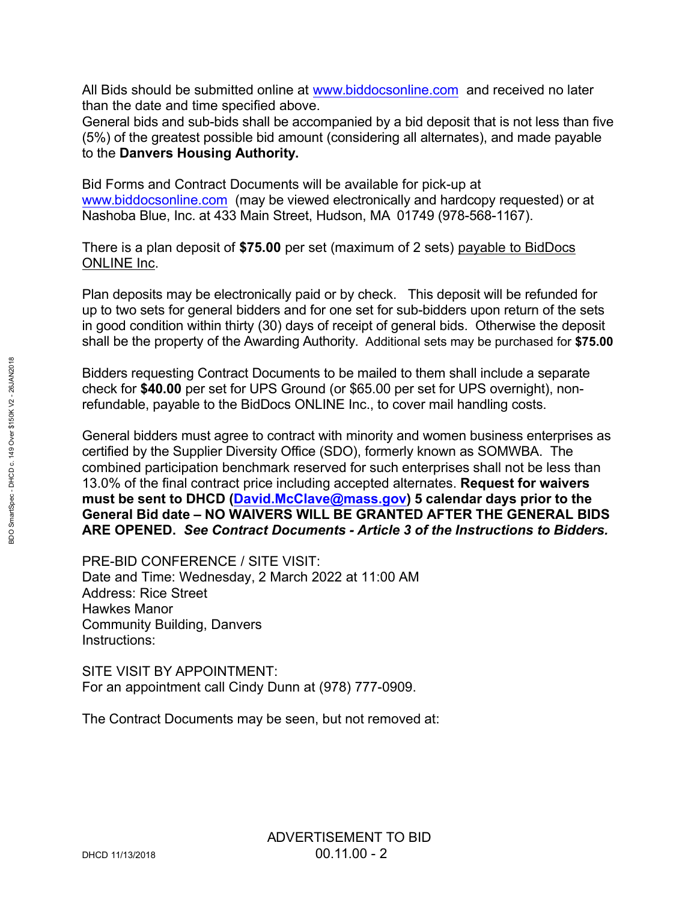All Bids should be submitted online at www.biddocsonline.com and received no later than the date and time specified above.

General bids and sub-bids shall be accompanied by a bid deposit that is not less than five (5%) of the greatest possible bid amount (considering all alternates), and made payable to the **Danvers Housing Authority.**

Bid Forms and Contract Documents will be available for pick-up at www.biddocsonline.com (may be viewed electronically and hardcopy requested) or at Nashoba Blue, Inc. at 433 Main Street, Hudson, MA 01749 (978-568-1167).

There is a plan deposit of **\$75.00** per set (maximum of 2 sets) payable to BidDocs ONLINE Inc.

Plan deposits may be electronically paid or by check. This deposit will be refunded for up to two sets for general bidders and for one set for sub-bidders upon return of the sets in good condition within thirty (30) days of receipt of general bids. Otherwise the deposit shall be the property of the Awarding Authority. Additional sets may be purchased for **\$75.00**

Bidders requesting Contract Documents to be mailed to them shall include a separate check for **\$40.00** per set for UPS Ground (or \$65.00 per set for UPS overnight), nonrefundable, payable to the BidDocs ONLINE Inc., to cover mail handling costs.

General bidders must agree to contract with minority and women business enterprises as certified by the Supplier Diversity Office (SDO), formerly known as SOMWBA. The combined participation benchmark reserved for such enterprises shall not be less than 13.0% of the final contract price including accepted alternates. **Request for waivers**  must be sent to DHCD (David.McClave@mass.gov) 5 calendar days prior to the **General Bid date – NO WAIVERS WILL BE GRANTED AFTER THE GENERAL BIDS ARE OPENED.** *See Contract Documents - Article 3 of the Instructions to Bidders.*

PRE-BID CONFERENCE / SITE VISIT: Date and Time: Wednesday, 2 March 2022 at 11:00 AM Address: Rice Street Hawkes Manor Community Building, Danvers Instructions:

SITE VISIT BY APPOINTMENT: For an appointment call Cindy Dunn at (978) 777-0909.

The Contract Documents may be seen, but not removed at: